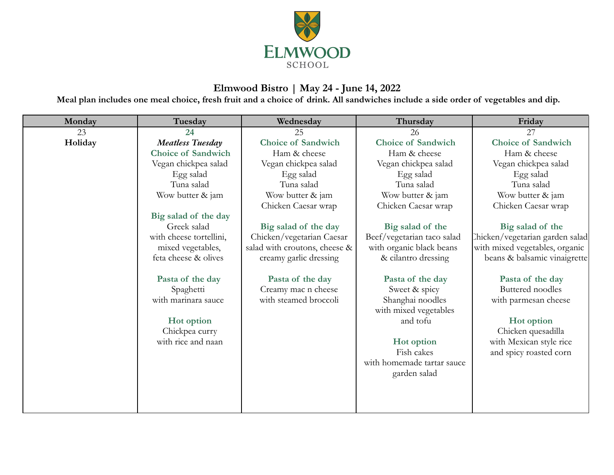

## **Elmwood Bistro | May 24 - June 14, 2022**

**Meal plan includes one meal choice, fresh fruit and a choice of drink. All sandwiches include a side order of vegetables and dip.**

| Monday  | Tuesday                          | Wednesday                                    | Thursday                          | Friday                                      |
|---------|----------------------------------|----------------------------------------------|-----------------------------------|---------------------------------------------|
| 23      | 24                               | 25                                           | 26                                | 27                                          |
| Holiday | <b>Meatless Tuesday</b>          | <b>Choice of Sandwich</b>                    | <b>Choice of Sandwich</b>         | <b>Choice of Sandwich</b>                   |
|         | <b>Choice of Sandwich</b>        | Ham & cheese                                 | Ham & cheese                      | Ham & cheese                                |
|         | Vegan chickpea salad             | Vegan chickpea salad                         | Vegan chickpea salad              | Vegan chickpea salad                        |
|         | Egg salad                        | Egg salad                                    | Egg salad                         | Egg salad                                   |
|         | Tuna salad                       | Tuna salad                                   | Tuna salad                        | Tuna salad                                  |
|         | Wow butter & jam                 | Wow butter & jam                             | Wow butter & jam                  | Wow butter & jam                            |
|         |                                  | Chicken Caesar wrap                          | Chicken Caesar wrap               | Chicken Caesar wrap                         |
|         | Big salad of the day             |                                              |                                   |                                             |
|         | Greek salad                      | Big salad of the day                         | Big salad of the                  | Big salad of the                            |
|         | with cheese tortellini,          | Chicken/vegetarian Caesar                    | Beef/vegetarian taco salad        | Chicken/vegetarian garden salad             |
|         | mixed vegetables,                | salad with croutons, cheese &                | with organic black beans          | with mixed vegetables, organic              |
|         | feta cheese & olives             | creamy garlic dressing                       | & cilantro dressing               | beans & balsamic vinaigrette                |
|         |                                  |                                              |                                   |                                             |
|         | Pasta of the day                 | Pasta of the day                             | Pasta of the day                  | Pasta of the day<br><b>Buttered</b> noodles |
|         | Spaghetti<br>with marinara sauce | Creamy mac n cheese<br>with steamed broccoli | Sweet & spicy                     |                                             |
|         |                                  |                                              | Shanghai noodles                  | with parmesan cheese                        |
|         | Hot option                       |                                              | with mixed vegetables<br>and tofu |                                             |
|         | Chickpea curry                   |                                              |                                   | Hot option<br>Chicken quesadilla            |
|         | with rice and naan               |                                              | Hot option                        | with Mexican style rice                     |
|         |                                  |                                              | Fish cakes                        | and spicy roasted corn                      |
|         |                                  |                                              | with homemade tartar sauce        |                                             |
|         |                                  |                                              | garden salad                      |                                             |
|         |                                  |                                              |                                   |                                             |
|         |                                  |                                              |                                   |                                             |
|         |                                  |                                              |                                   |                                             |
|         |                                  |                                              |                                   |                                             |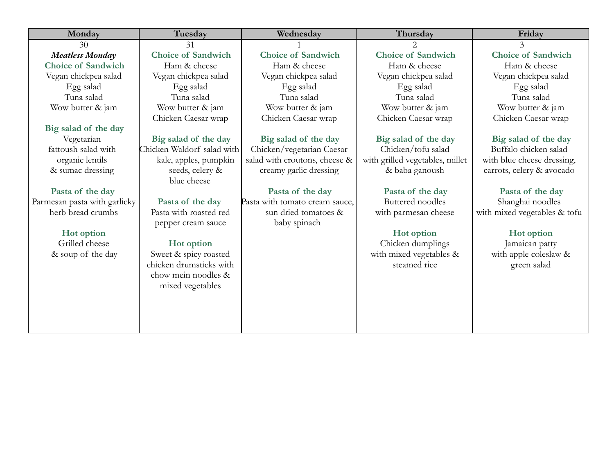| Monday                       | Tuesday                    | Wednesday                      | Thursday                        | Friday                       |
|------------------------------|----------------------------|--------------------------------|---------------------------------|------------------------------|
| 30                           | 31                         |                                | $\overline{2}$                  | $\overline{3}$               |
| <b>Meatless Monday</b>       | <b>Choice of Sandwich</b>  | <b>Choice of Sandwich</b>      | <b>Choice of Sandwich</b>       | <b>Choice of Sandwich</b>    |
| <b>Choice of Sandwich</b>    | Ham & cheese               | Ham & cheese                   | Ham & cheese                    | Ham & cheese                 |
| Vegan chickpea salad         | Vegan chickpea salad       | Vegan chickpea salad           | Vegan chickpea salad            | Vegan chickpea salad         |
| Egg salad                    | Egg salad                  | Egg salad                      | Egg salad                       | Egg salad                    |
| Tuna salad                   | Tuna salad                 | Tuna salad                     | Tuna salad                      | Tuna salad                   |
| Wow butter & jam             | Wow butter & jam           | Wow butter & jam               | Wow butter & jam                | Wow butter & jam             |
|                              | Chicken Caesar wrap        | Chicken Caesar wrap            | Chicken Caesar wrap             | Chicken Caesar wrap          |
| Big salad of the day         |                            |                                |                                 |                              |
| Vegetarian                   | Big salad of the day       | Big salad of the day           | Big salad of the day            | Big salad of the day         |
| fattoush salad with          | Chicken Waldorf salad with | Chicken/vegetarian Caesar      | Chicken/tofu salad              | Buffalo chicken salad        |
| organic lentils              | kale, apples, pumpkin      | salad with croutons, cheese &  | with grilled vegetables, millet | with blue cheese dressing,   |
| & sumac dressing             | seeds, celery &            | creamy garlic dressing         | & baba ganoush                  | carrots, celery & avocado    |
|                              | blue cheese                |                                |                                 |                              |
| Pasta of the day             |                            | Pasta of the day               | Pasta of the day                | Pasta of the day             |
| Parmesan pasta with garlicky | Pasta of the day           | Pasta with tomato cream sauce, | Buttered noodles                | Shanghai noodles             |
| herb bread crumbs            | Pasta with roasted red     | sun dried tomatoes &           | with parmesan cheese            | with mixed vegetables & tofu |
|                              | pepper cream sauce         | baby spinach                   |                                 |                              |
| Hot option                   |                            |                                | Hot option                      | Hot option                   |
| Grilled cheese               | Hot option                 |                                | Chicken dumplings               | Jamaican patty               |
| & soup of the day            | Sweet & spicy roasted      |                                | with mixed vegetables &         | with apple coleslaw &        |
|                              | chicken drumsticks with    |                                | steamed rice                    | green salad                  |
|                              | chow mein noodles &        |                                |                                 |                              |
|                              | mixed vegetables           |                                |                                 |                              |
|                              |                            |                                |                                 |                              |
|                              |                            |                                |                                 |                              |
|                              |                            |                                |                                 |                              |
|                              |                            |                                |                                 |                              |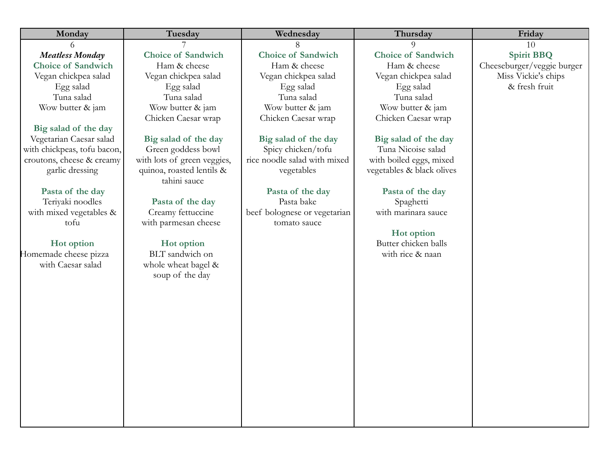| Monday                          | Tuesday                     | Wednesday                                    | Thursday                  | Friday                     |
|---------------------------------|-----------------------------|----------------------------------------------|---------------------------|----------------------------|
| 6                               |                             | 8                                            | $\Omega$                  | 10                         |
| <b>Meatless Monday</b>          | <b>Choice of Sandwich</b>   | <b>Choice of Sandwich</b>                    | <b>Choice of Sandwich</b> | <b>Spirit BBQ</b>          |
| <b>Choice of Sandwich</b>       | Ham & cheese                | Ham & cheese                                 | Ham & cheese              | Cheeseburger/veggie burger |
| Vegan chickpea salad            | Vegan chickpea salad        | Vegan chickpea salad                         | Vegan chickpea salad      | Miss Vickie's chips        |
| Egg salad                       | Egg salad                   | Egg salad                                    | Egg salad                 | & fresh fruit              |
| Tuna salad                      | Tuna salad                  | Tuna salad                                   | Tuna salad                |                            |
| Wow butter & jam                | Wow butter & jam            | Wow butter & jam                             | Wow butter & jam          |                            |
|                                 | Chicken Caesar wrap         | Chicken Caesar wrap                          | Chicken Caesar wrap       |                            |
| Big salad of the day            |                             |                                              |                           |                            |
| Vegetarian Caesar salad         | Big salad of the day        | Big salad of the day                         | Big salad of the day      |                            |
| with chickpeas, tofu bacon,     | Green goddess bowl          | Spicy chicken/tofu                           | Tuna Nicoise salad        |                            |
| croutons, cheese & creamy       | with lots of green veggies, | rice noodle salad with mixed                 | with boiled eggs, mixed   |                            |
| garlic dressing                 | quinoa, roasted lentils &   | vegetables                                   | vegetables & black olives |                            |
|                                 | tahini sauce                |                                              |                           |                            |
| Pasta of the day                |                             | Pasta of the day                             | Pasta of the day          |                            |
| Teriyaki noodles                | Pasta of the day            | Pasta bake                                   | Spaghetti                 |                            |
| with mixed vegetables &<br>tofu | Creamy fettuccine           | beef bolognese or vegetarian<br>tomato sauce | with marinara sauce       |                            |
|                                 | with parmesan cheese        |                                              | Hot option                |                            |
| Hot option                      | Hot option                  |                                              | Butter chicken balls      |                            |
| Homemade cheese pizza           | BLT sandwich on             |                                              | with rice & naan          |                            |
| with Caesar salad               | whole wheat bagel &         |                                              |                           |                            |
|                                 | soup of the day             |                                              |                           |                            |
|                                 |                             |                                              |                           |                            |
|                                 |                             |                                              |                           |                            |
|                                 |                             |                                              |                           |                            |
|                                 |                             |                                              |                           |                            |
|                                 |                             |                                              |                           |                            |
|                                 |                             |                                              |                           |                            |
|                                 |                             |                                              |                           |                            |
|                                 |                             |                                              |                           |                            |
|                                 |                             |                                              |                           |                            |
|                                 |                             |                                              |                           |                            |
|                                 |                             |                                              |                           |                            |
|                                 |                             |                                              |                           |                            |
|                                 |                             |                                              |                           |                            |
|                                 |                             |                                              |                           |                            |